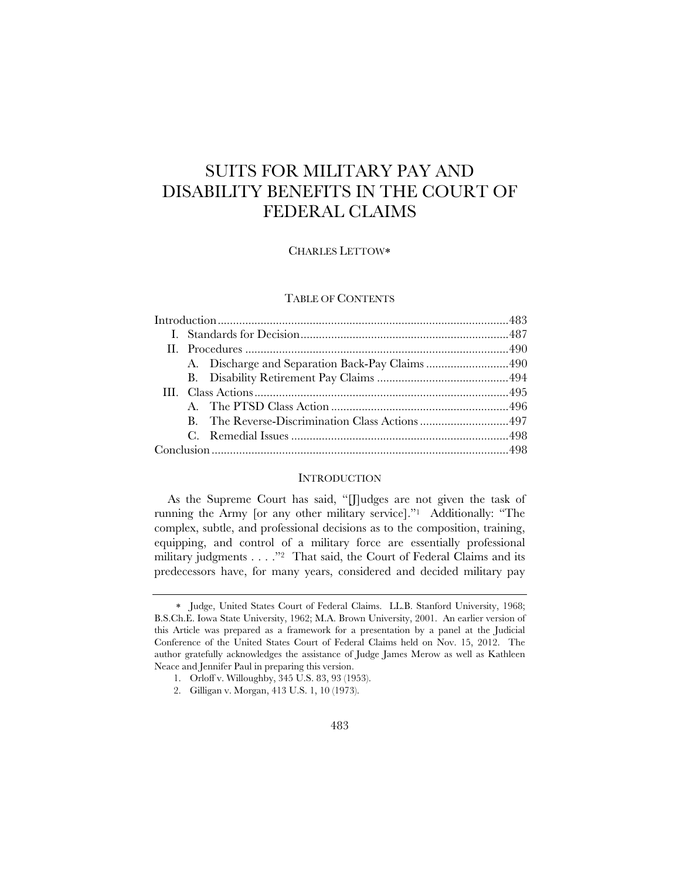# SUITS FOR MILITARY PAY AND DISABILITY BENEFITS IN THE COURT OF FEDERAL CLAIMS

# CHARLES LETTOW

# TABLE OF CONTENTS

|  |  | A. Discharge and Separation Back-Pay Claims 490 |  |  |  |
|--|--|-------------------------------------------------|--|--|--|
|  |  |                                                 |  |  |  |
|  |  |                                                 |  |  |  |
|  |  |                                                 |  |  |  |
|  |  |                                                 |  |  |  |
|  |  |                                                 |  |  |  |
|  |  |                                                 |  |  |  |
|  |  |                                                 |  |  |  |

# **INTRODUCTION**

As the Supreme Court has said, "[J]udges are not given the task of running the Army [or any other military service]."1 Additionally: "The complex, subtle, and professional decisions as to the composition, training, equipping, and control of a military force are essentially professional military judgments . . . ."<sup>2</sup> That said, the Court of Federal Claims and its predecessors have, for many years, considered and decided military pay

Judge, United States Court of Federal Claims. LL.B. Stanford University, 1968; B.S.Ch.E. Iowa State University, 1962; M.A. Brown University, 2001. An earlier version of this Article was prepared as a framework for a presentation by a panel at the Judicial Conference of the United States Court of Federal Claims held on Nov. 15, 2012. The author gratefully acknowledges the assistance of Judge James Merow as well as Kathleen Neace and Jennifer Paul in preparing this version.

 <sup>1.</sup> Orloff v. Willoughby, 345 U.S. 83, 93 (1953).

 <sup>2.</sup> Gilligan v. Morgan, 413 U.S. 1, 10 (1973).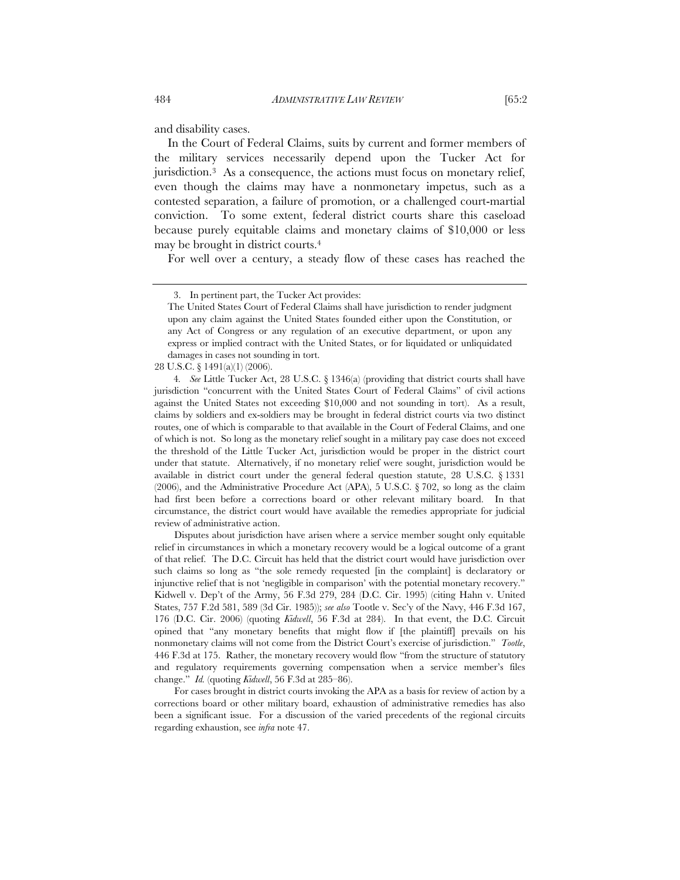and disability cases.

In the Court of Federal Claims, suits by current and former members of the military services necessarily depend upon the Tucker Act for jurisdiction.3 As a consequence, the actions must focus on monetary relief, even though the claims may have a nonmonetary impetus, such as a contested separation, a failure of promotion, or a challenged court-martial conviction. To some extent, federal district courts share this caseload because purely equitable claims and monetary claims of \$10,000 or less may be brought in district courts.4

For well over a century, a steady flow of these cases has reached the

4*. See* Little Tucker Act, 28 U.S.C. § 1346(a) (providing that district courts shall have jurisdiction "concurrent with the United States Court of Federal Claims" of civil actions against the United States not exceeding \$10,000 and not sounding in tort). As a result, claims by soldiers and ex-soldiers may be brought in federal district courts via two distinct routes, one of which is comparable to that available in the Court of Federal Claims, and one of which is not. So long as the monetary relief sought in a military pay case does not exceed the threshold of the Little Tucker Act, jurisdiction would be proper in the district court under that statute. Alternatively, if no monetary relief were sought, jurisdiction would be available in district court under the general federal question statute, 28 U.S.C. § 1331  $(2006)$ , and the Administrative Procedure Act (APA), 5 U.S.C. § 702, so long as the claim had first been before a corrections board or other relevant military board. In that circumstance, the district court would have available the remedies appropriate for judicial review of administrative action.

Disputes about jurisdiction have arisen where a service member sought only equitable relief in circumstances in which a monetary recovery would be a logical outcome of a grant of that relief. The D.C. Circuit has held that the district court would have jurisdiction over such claims so long as "the sole remedy requested [in the complaint] is declaratory or injunctive relief that is not 'negligible in comparison' with the potential monetary recovery." Kidwell v. Dep't of the Army, 56 F.3d 279, 284 (D.C. Cir. 1995) (citing Hahn v. United States, 757 F.2d 581, 589 (3d Cir. 1985)); *see also* Tootle v. Sec'y of the Navy, 446 F.3d 167, 176 (D.C. Cir. 2006) (quoting *Kidwell*, 56 F.3d at 284). In that event, the D.C. Circuit opined that "any monetary benefits that might flow if [the plaintiff] prevails on his nonmonetary claims will not come from the District Court's exercise of jurisdiction." *Tootle*, 446 F.3d at 175. Rather, the monetary recovery would flow "from the structure of statutory and regulatory requirements governing compensation when a service member's files change." *Id.* (quoting *Kidwell*, 56 F.3d at 285–86).

For cases brought in district courts invoking the APA as a basis for review of action by a corrections board or other military board, exhaustion of administrative remedies has also been a significant issue. For a discussion of the varied precedents of the regional circuits regarding exhaustion, see *infra* note 47.

 <sup>3.</sup> In pertinent part, the Tucker Act provides:

The United States Court of Federal Claims shall have jurisdiction to render judgment upon any claim against the United States founded either upon the Constitution, or any Act of Congress or any regulation of an executive department, or upon any express or implied contract with the United States, or for liquidated or unliquidated damages in cases not sounding in tort.

<sup>28</sup> U.S.C. § 1491(a)(1) (2006).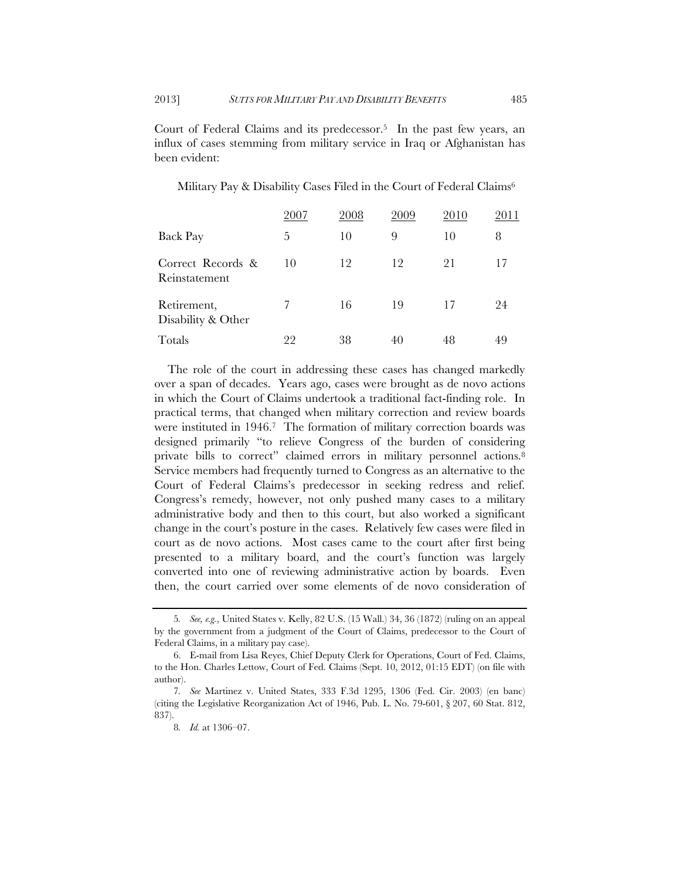Court of Federal Claims and its predecessor.5 In the past few years, an influx of cases stemming from military service in Iraq or Afghanistan has been evident:

|                                    | 2007 | 2008 | 2009 | 2010 | 2011 |
|------------------------------------|------|------|------|------|------|
| <b>Back Pay</b>                    | 5    | 10   | 9    | 10   | 8    |
| Correct Records &<br>Reinstatement | 10   | 12   | 12   | 21   | 17   |
| Retirement,<br>Disability & Other  |      | 16   | 19   | 17   | 24   |
| Totals                             | 22   | 38   | 40   | 48   | 49   |

The role of the court in addressing these cases has changed markedly over a span of decades. Years ago, cases were brought as de novo actions in which the Court of Claims undertook a traditional fact-finding role. In practical terms, that changed when military correction and review boards were instituted in 1946.7 The formation of military correction boards was designed primarily "to relieve Congress of the burden of considering private bills to correct" claimed errors in military personnel actions.<sup>8</sup> Service members had frequently turned to Congress as an alternative to the Court of Federal Claims's predecessor in seeking redress and relief. Congress's remedy, however, not only pushed many cases to a military administrative body and then to this court, but also worked a significant change in the court's posture in the cases. Relatively few cases were filed in court as de novo actions. Most cases came to the court after first being presented to a military board, and the court's function was largely converted into one of reviewing administrative action by boards. Even then, the court carried over some elements of de novo consideration of

<sup>5</sup>*. See, e.g.*, United States v. Kelly, 82 U.S. (15 Wall.) 34, 36 (1872) (ruling on an appeal by the government from a judgment of the Court of Claims, predecessor to the Court of Federal Claims, in a military pay case).

 <sup>6.</sup> E-mail from Lisa Reyes, Chief Deputy Clerk for Operations, Court of Fed. Claims, to the Hon. Charles Lettow, Court of Fed. Claims (Sept. 10, 2012, 01:15 EDT) (on file with author).

<sup>7</sup>*. See* Martinez v. United States, 333 F.3d 1295, 1306 (Fed. Cir. 2003) (en banc) (citing the Legislative Reorganization Act of 1946, Pub. L. No. 79-601, § 207, 60 Stat. 812, 837).

<sup>8</sup>*. Id.* at 1306–07.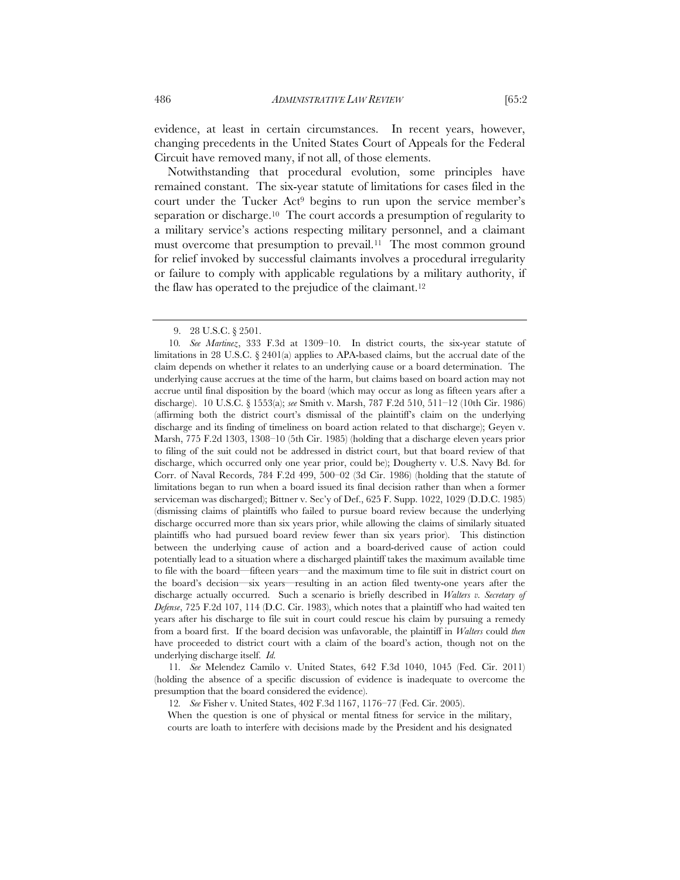evidence, at least in certain circumstances. In recent years, however, changing precedents in the United States Court of Appeals for the Federal Circuit have removed many, if not all, of those elements.

Notwithstanding that procedural evolution, some principles have remained constant. The six-year statute of limitations for cases filed in the court under the Tucker Act9 begins to run upon the service member's separation or discharge.10 The court accords a presumption of regularity to a military service's actions respecting military personnel, and a claimant must overcome that presumption to prevail.<sup>11</sup> The most common ground for relief invoked by successful claimants involves a procedural irregularity or failure to comply with applicable regulations by a military authority, if the flaw has operated to the prejudice of the claimant.<sup>12</sup>

11*. See* Melendez Camilo v. United States, 642 F.3d 1040, 1045 (Fed. Cir. 2011) (holding the absence of a specific discussion of evidence is inadequate to overcome the presumption that the board considered the evidence).

12*. See* Fisher v. United States, 402 F.3d 1167, 1176–77 (Fed. Cir. 2005).

When the question is one of physical or mental fitness for service in the military, courts are loath to interfere with decisions made by the President and his designated

 <sup>9. 28</sup> U.S.C. § 2501.

<sup>10</sup>*. See Martinez*, 333 F.3d at 1309–10. In district courts, the six-year statute of limitations in 28 U.S.C. § 2401(a) applies to APA-based claims, but the accrual date of the claim depends on whether it relates to an underlying cause or a board determination. The underlying cause accrues at the time of the harm, but claims based on board action may not accrue until final disposition by the board (which may occur as long as fifteen years after a discharge). 10 U.S.C. § 1553(a); *see* Smith v. Marsh, 787 F.2d 510, 511–12 (10th Cir. 1986) (affirming both the district court's dismissal of the plaintiff's claim on the underlying discharge and its finding of timeliness on board action related to that discharge); Geyen v. Marsh, 775 F.2d 1303, 1308–10 (5th Cir. 1985) (holding that a discharge eleven years prior to filing of the suit could not be addressed in district court, but that board review of that discharge, which occurred only one year prior, could be); Dougherty v. U.S. Navy Bd. for Corr. of Naval Records, 784 F.2d 499, 500–02 (3d Cir. 1986) (holding that the statute of limitations began to run when a board issued its final decision rather than when a former serviceman was discharged); Bittner v. Sec'y of Def., 625 F. Supp. 1022, 1029 (D.D.C. 1985) (dismissing claims of plaintiffs who failed to pursue board review because the underlying discharge occurred more than six years prior, while allowing the claims of similarly situated plaintiffs who had pursued board review fewer than six years prior). This distinction between the underlying cause of action and a board-derived cause of action could potentially lead to a situation where a discharged plaintiff takes the maximum available time to file with the board—fifteen years—and the maximum time to file suit in district court on the board's decision—six years—resulting in an action filed twenty-one years after the discharge actually occurred. Such a scenario is briefly described in *Walters v. Secretary of Defense*, 725 F.2d 107, 114 (D.C. Cir. 1983), which notes that a plaintiff who had waited ten years after his discharge to file suit in court could rescue his claim by pursuing a remedy from a board first. If the board decision was unfavorable, the plaintiff in *Walters* could *then* have proceeded to district court with a claim of the board's action, though not on the underlying discharge itself. *Id.*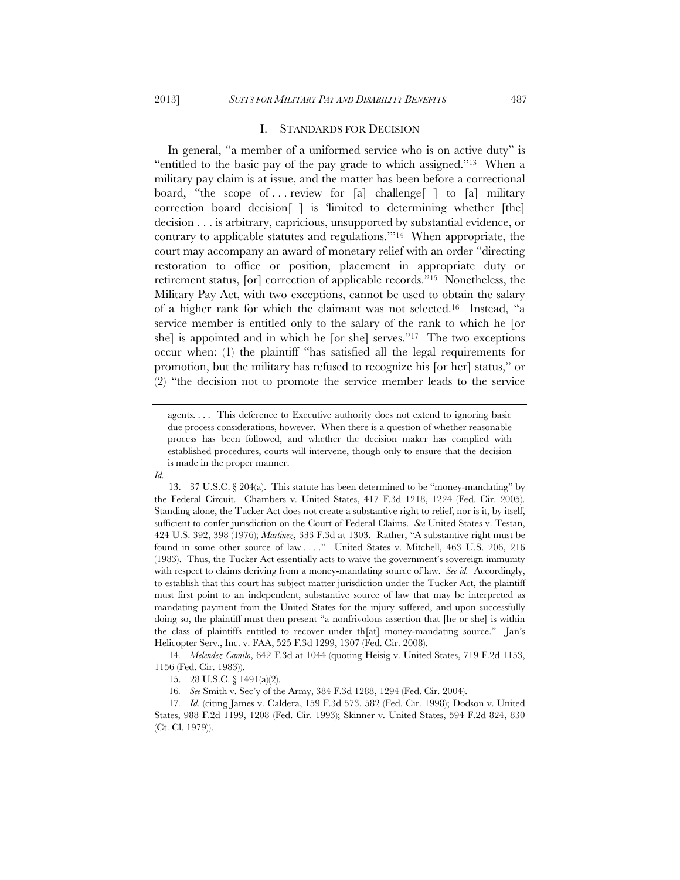#### I. STANDARDS FOR DECISION

In general, "a member of a uniformed service who is on active duty" is "entitled to the basic pay of the pay grade to which assigned."13 When a military pay claim is at issue, and the matter has been before a correctional board, "the scope of ... review for [a] challenge  $\lceil \cdot \rceil$  to [a] military correction board decision[ ] is 'limited to determining whether [the] decision . . . is arbitrary, capricious, unsupported by substantial evidence, or contrary to applicable statutes and regulations.'"14 When appropriate, the court may accompany an award of monetary relief with an order "directing restoration to office or position, placement in appropriate duty or retirement status, [or] correction of applicable records."15 Nonetheless, the Military Pay Act, with two exceptions, cannot be used to obtain the salary of a higher rank for which the claimant was not selected.16 Instead, "a service member is entitled only to the salary of the rank to which he [or she] is appointed and in which he [or she] serves."17 The two exceptions occur when: (1) the plaintiff "has satisfied all the legal requirements for promotion, but the military has refused to recognize his [or her] status," or (2) "the decision not to promote the service member leads to the service

*Id.*

14*. Melendez Camilo*, 642 F.3d at 1044 (quoting Heisig v. United States, 719 F.2d 1153, 1156 (Fed. Cir. 1983)).

16*. See* Smith v. Sec'y of the Army, 384 F.3d 1288, 1294 (Fed. Cir. 2004).

agents. . . . This deference to Executive authority does not extend to ignoring basic due process considerations, however. When there is a question of whether reasonable process has been followed, and whether the decision maker has complied with established procedures, courts will intervene, though only to ensure that the decision is made in the proper manner.

<sup>13. 37</sup> U.S.C.  $\S 204(a)$ . This statute has been determined to be "money-mandating" by the Federal Circuit. Chambers v. United States, 417 F.3d 1218, 1224 (Fed. Cir. 2005). Standing alone, the Tucker Act does not create a substantive right to relief, nor is it, by itself, sufficient to confer jurisdiction on the Court of Federal Claims. *See* United States v. Testan, 424 U.S. 392, 398 (1976); *Martinez*, 333 F.3d at 1303. Rather, "A substantive right must be found in some other source of law . . . ." United States v. Mitchell, 463 U.S. 206, 216 (1983). Thus, the Tucker Act essentially acts to waive the government's sovereign immunity with respect to claims deriving from a money-mandating source of law. *See id.* Accordingly, to establish that this court has subject matter jurisdiction under the Tucker Act, the plaintiff must first point to an independent, substantive source of law that may be interpreted as mandating payment from the United States for the injury suffered, and upon successfully doing so, the plaintiff must then present "a nonfrivolous assertion that [he or she] is within the class of plaintiffs entitled to recover under th[at] money-mandating source." Jan's Helicopter Serv., Inc. v. FAA, 525 F.3d 1299, 1307 (Fed. Cir. 2008).

 <sup>15. 28</sup> U.S.C. § 1491(a)(2).

<sup>17</sup>*. Id.* (citing James v. Caldera, 159 F.3d 573, 582 (Fed. Cir. 1998); Dodson v. United States, 988 F.2d 1199, 1208 (Fed. Cir. 1993); Skinner v. United States, 594 F.2d 824, 830 (Ct. Cl. 1979)).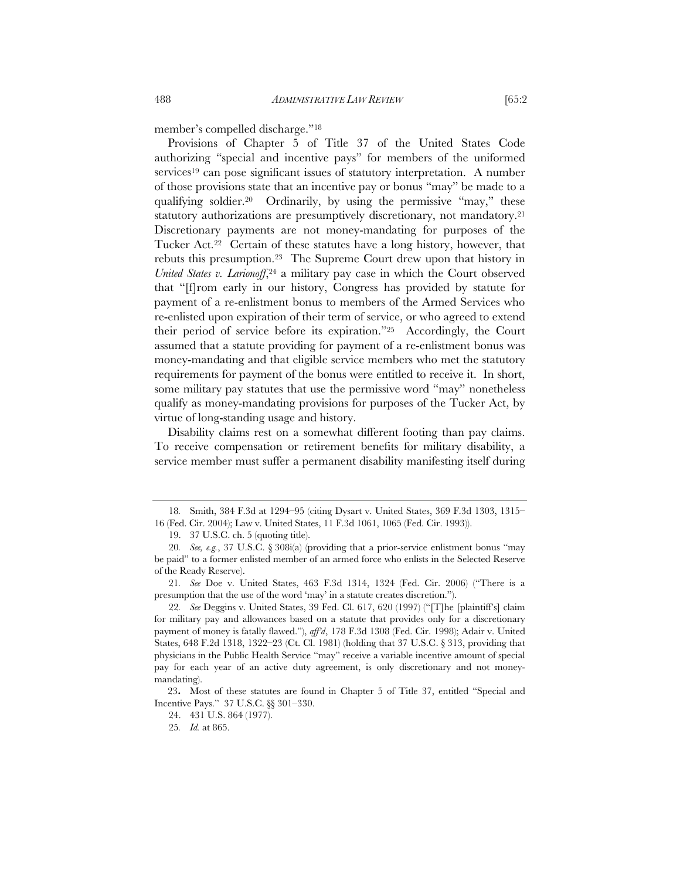member's compelled discharge."18

Provisions of Chapter 5 of Title 37 of the United States Code authorizing "special and incentive pays" for members of the uniformed services19 can pose significant issues of statutory interpretation. A number of those provisions state that an incentive pay or bonus "may" be made to a qualifying soldier.<sup>20</sup> Ordinarily, by using the permissive "may," these statutory authorizations are presumptively discretionary, not mandatory.<sup>21</sup> Discretionary payments are not money-mandating for purposes of the Tucker Act.22 Certain of these statutes have a long history, however, that rebuts this presumption.23 The Supreme Court drew upon that history in *United States v. Larionoff*,<sup>24</sup> a military pay case in which the Court observed that "[f]rom early in our history, Congress has provided by statute for payment of a re-enlistment bonus to members of the Armed Services who re-enlisted upon expiration of their term of service, or who agreed to extend their period of service before its expiration."25 Accordingly, the Court assumed that a statute providing for payment of a re-enlistment bonus was money-mandating and that eligible service members who met the statutory requirements for payment of the bonus were entitled to receive it. In short, some military pay statutes that use the permissive word "may" nonetheless qualify as money-mandating provisions for purposes of the Tucker Act, by virtue of long-standing usage and history.

Disability claims rest on a somewhat different footing than pay claims. To receive compensation or retirement benefits for military disability, a service member must suffer a permanent disability manifesting itself during

<sup>18</sup>*.* Smith, 384 F.3d at 1294–95 (citing Dysart v. United States, 369 F.3d 1303, 1315– 16 (Fed. Cir. 2004); Law v. United States, 11 F.3d 1061, 1065 (Fed. Cir. 1993)).

 <sup>19. 37</sup> U.S.C. ch. 5 (quoting title).

<sup>20</sup>*. See, e.g.*, 37 U.S.C. § 308i(a) (providing that a prior-service enlistment bonus "may be paid" to a former enlisted member of an armed force who enlists in the Selected Reserve of the Ready Reserve).

<sup>21</sup>*. See* Doe v. United States, 463 F.3d 1314, 1324 (Fed. Cir. 2006) ("There is a presumption that the use of the word 'may' in a statute creates discretion.").

<sup>22</sup>*. See* Deggins v. United States, 39 Fed. Cl. 617, 620 (1997) ("[T]he [plaintiff's] claim for military pay and allowances based on a statute that provides only for a discretionary payment of money is fatally flawed."), *aff'd*, 178 F.3d 1308 (Fed. Cir. 1998); Adair v. United States, 648 F.2d 1318, 1322–23 (Ct. Cl. 1981) (holding that 37 U.S.C. § 313, providing that physicians in the Public Health Service "may" receive a variable incentive amount of special pay for each year of an active duty agreement, is only discretionary and not moneymandating).

<sup>23</sup>**.** Most of these statutes are found in Chapter 5 of Title 37, entitled "Special and Incentive Pays." 37 U.S.C. §§ 301–330.

 <sup>24. 431</sup> U.S. 864 (1977).

<sup>25</sup>*. Id.* at 865.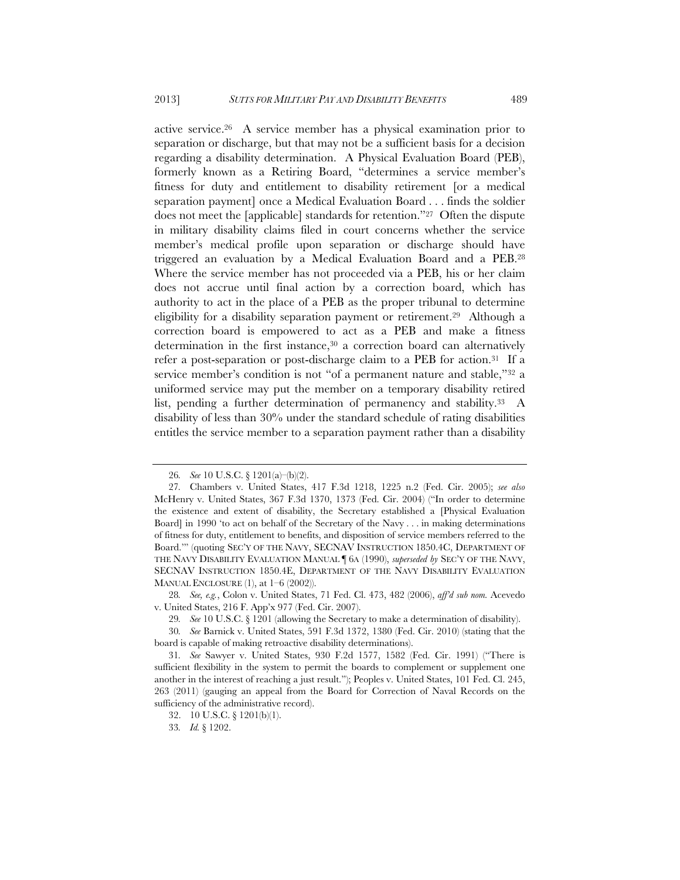active service.26 A service member has a physical examination prior to separation or discharge, but that may not be a sufficient basis for a decision regarding a disability determination. A Physical Evaluation Board (PEB), formerly known as a Retiring Board, "determines a service member's fitness for duty and entitlement to disability retirement [or a medical separation payment] once a Medical Evaluation Board . . . finds the soldier does not meet the [applicable] standards for retention."27 Often the dispute in military disability claims filed in court concerns whether the service member's medical profile upon separation or discharge should have triggered an evaluation by a Medical Evaluation Board and a PEB.28 Where the service member has not proceeded via a PEB, his or her claim does not accrue until final action by a correction board, which has authority to act in the place of a PEB as the proper tribunal to determine eligibility for a disability separation payment or retirement.29 Although a correction board is empowered to act as a PEB and make a fitness determination in the first instance,30 a correction board can alternatively refer a post-separation or post-discharge claim to a PEB for action.31 If a service member's condition is not "of a permanent nature and stable,"<sup>32</sup> a uniformed service may put the member on a temporary disability retired list, pending a further determination of permanency and stability.<sup>33</sup> A disability of less than 30% under the standard schedule of rating disabilities entitles the service member to a separation payment rather than a disability

<sup>26</sup>*. See* 10 U.S.C. § 1201(a)–(b)(2).

<sup>27</sup>*.* Chambers v. United States, 417 F.3d 1218, 1225 n.2 (Fed. Cir. 2005); *see also*  McHenry v. United States, 367 F.3d 1370, 1373 (Fed. Cir. 2004) ("In order to determine the existence and extent of disability, the Secretary established a [Physical Evaluation Board] in 1990 'to act on behalf of the Secretary of the Navy . . . in making determinations of fitness for duty, entitlement to benefits, and disposition of service members referred to the Board.'" (quoting SEC'Y OF THE NAVY, SECNAV INSTRUCTION 1850.4C, DEPARTMENT OF THE NAVY DISABILITY EVALUATION MANUAL ¶ 6A (1990), *superseded by* SEC'Y OF THE NAVY, SECNAV INSTRUCTION 1850.4E, DEPARTMENT OF THE NAVY DISABILITY EVALUATION MANUAL ENCLOSURE  $(1)$ , at  $1-6$   $(2002)$ ).

<sup>28</sup>*. See, e.g.*, Colon v. United States, 71 Fed. Cl. 473, 482 (2006), *aff'd sub nom.* Acevedo v. United States, 216 F. App'x 977 (Fed. Cir. 2007).

<sup>29</sup>*. See* 10 U.S.C. § 1201 (allowing the Secretary to make a determination of disability).

<sup>30</sup>*. See* Barnick v. United States, 591 F.3d 1372, 1380 (Fed. Cir. 2010) (stating that the board is capable of making retroactive disability determinations).

<sup>31</sup>*. See* Sawyer v. United States, 930 F.2d 1577, 1582 (Fed. Cir. 1991) ("There is sufficient flexibility in the system to permit the boards to complement or supplement one another in the interest of reaching a just result."); Peoples v. United States, 101 Fed. Cl. 245, 263 (2011) (gauging an appeal from the Board for Correction of Naval Records on the sufficiency of the administrative record).

 <sup>32. 10</sup> U.S.C. § 1201(b)(1).

<sup>33</sup>*. Id.* § 1202.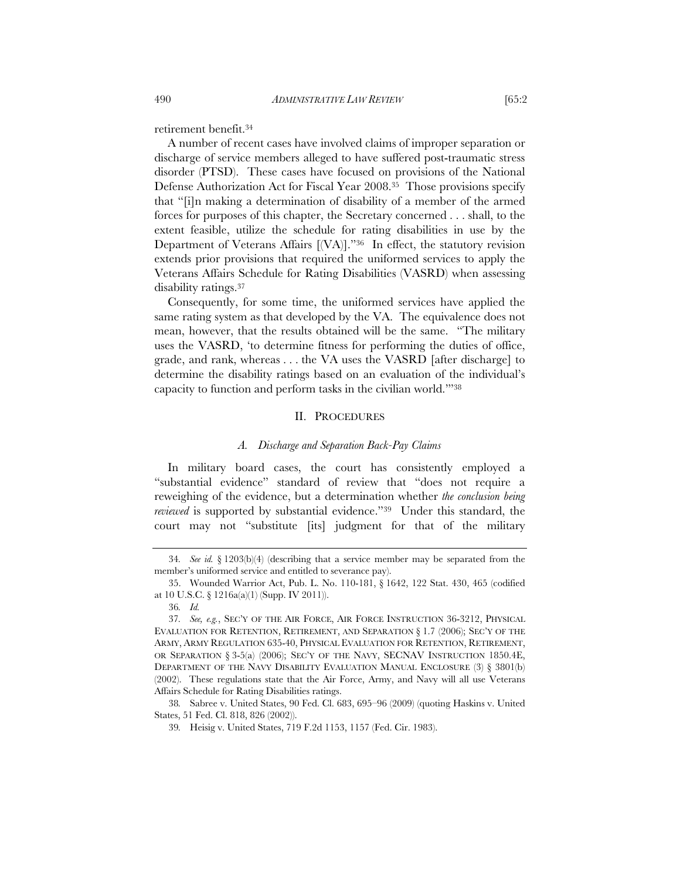retirement benefit.34

A number of recent cases have involved claims of improper separation or discharge of service members alleged to have suffered post-traumatic stress disorder (PTSD). These cases have focused on provisions of the National Defense Authorization Act for Fiscal Year 2008.35 Those provisions specify that "[i]n making a determination of disability of a member of the armed forces for purposes of this chapter, the Secretary concerned . . . shall, to the extent feasible, utilize the schedule for rating disabilities in use by the Department of Veterans Affairs [(VA)]."36 In effect, the statutory revision extends prior provisions that required the uniformed services to apply the Veterans Affairs Schedule for Rating Disabilities (VASRD) when assessing disability ratings.37

Consequently, for some time, the uniformed services have applied the same rating system as that developed by the VA. The equivalence does not mean, however, that the results obtained will be the same. "The military uses the VASRD, 'to determine fitness for performing the duties of office, grade, and rank, whereas . . . the VA uses the VASRD [after discharge] to determine the disability ratings based on an evaluation of the individual's capacity to function and perform tasks in the civilian world.'"38

## II. PROCEDURES

## *A. Discharge and Separation Back-Pay Claims*

In military board cases, the court has consistently employed a "substantial evidence" standard of review that "does not require a reweighing of the evidence, but a determination whether *the conclusion being reviewed* is supported by substantial evidence."39 Under this standard, the court may not "substitute [its] judgment for that of the military

<sup>34</sup>*. See id.* § 1203(b)(4) (describing that a service member may be separated from the member's uniformed service and entitled to severance pay).

 <sup>35.</sup> Wounded Warrior Act, Pub. L. No. 110-181, § 1642, 122 Stat. 430, 465 (codified at 10 U.S.C. § 1216a(a)(1) (Supp. IV 2011)).

<sup>36</sup>*. Id.*

<sup>37</sup>*. See, e.g.*, SEC'Y OF THE AIR FORCE, AIR FORCE INSTRUCTION 36-3212, PHYSICAL EVALUATION FOR RETENTION, RETIREMENT, AND SEPARATION § 1.7 (2006); SEC'Y OF THE ARMY, ARMY REGULATION 635-40, PHYSICAL EVALUATION FOR RETENTION, RETIREMENT, OR SEPARATION § 3-5(a) (2006); SEC'Y OF THE NAVY, SECNAV INSTRUCTION 1850.4E, DEPARTMENT OF THE NAVY DISABILITY EVALUATION MANUAL ENCLOSURE  $(3)$   $\S$  3801(b) (2002). These regulations state that the Air Force, Army, and Navy will all use Veterans Affairs Schedule for Rating Disabilities ratings.

<sup>38</sup>*.* Sabree v. United States, 90 Fed. Cl. 683, 695–96 (2009) (quoting Haskins v. United States, 51 Fed. Cl. 818, 826 (2002)).

<sup>39</sup>*.* Heisig v. United States, 719 F.2d 1153, 1157 (Fed. Cir. 1983).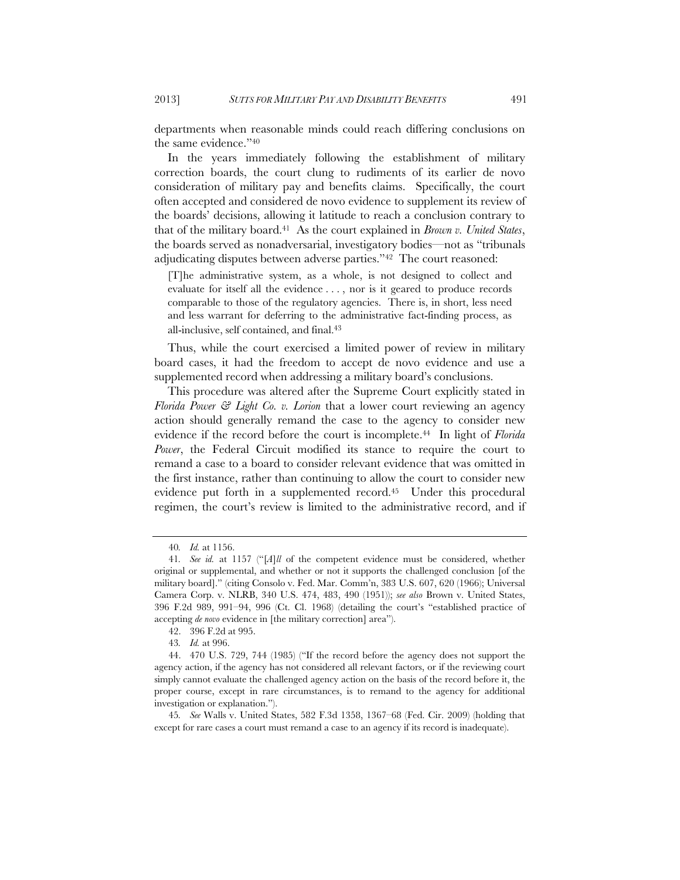departments when reasonable minds could reach differing conclusions on the same evidence."40

In the years immediately following the establishment of military correction boards, the court clung to rudiments of its earlier de novo consideration of military pay and benefits claims. Specifically, the court often accepted and considered de novo evidence to supplement its review of the boards' decisions, allowing it latitude to reach a conclusion contrary to that of the military board.41 As the court explained in *Brown v. United States*, the boards served as nonadversarial, investigatory bodies—not as "tribunals adjudicating disputes between adverse parties."42 The court reasoned:

[T]he administrative system, as a whole, is not designed to collect and evaluate for itself all the evidence . . . , nor is it geared to produce records comparable to those of the regulatory agencies. There is, in short, less need and less warrant for deferring to the administrative fact-finding process, as all-inclusive, self contained, and final.43

Thus, while the court exercised a limited power of review in military board cases, it had the freedom to accept de novo evidence and use a supplemented record when addressing a military board's conclusions.

This procedure was altered after the Supreme Court explicitly stated in *Florida Power & Light Co. v. Lorion* that a lower court reviewing an agency action should generally remand the case to the agency to consider new evidence if the record before the court is incomplete.44 In light of *Florida Power*, the Federal Circuit modified its stance to require the court to remand a case to a board to consider relevant evidence that was omitted in the first instance, rather than continuing to allow the court to consider new evidence put forth in a supplemented record.<sup>45</sup> Under this procedural regimen, the court's review is limited to the administrative record, and if

<sup>40</sup>*. Id.* at 1156.

<sup>41</sup>*. See id.* at 1157 ("[*A*]*ll* of the competent evidence must be considered, whether original or supplemental, and whether or not it supports the challenged conclusion [of the military board]." (citing Consolo v. Fed. Mar. Comm'n, 383 U.S. 607, 620 (1966); Universal Camera Corp. v. NLRB, 340 U.S. 474, 483, 490 (1951)); *see also* Brown v. United States, 396 F.2d 989, 991–94, 996 (Ct. Cl. 1968) (detailing the court's "established practice of accepting *de novo* evidence in [the military correction] area").

 <sup>42. 396</sup> F.2d at 995.

<sup>43</sup>*. Id.* at 996.

 <sup>44. 470</sup> U.S. 729, 744 (1985) ("If the record before the agency does not support the agency action, if the agency has not considered all relevant factors, or if the reviewing court simply cannot evaluate the challenged agency action on the basis of the record before it, the proper course, except in rare circumstances, is to remand to the agency for additional investigation or explanation.").

<sup>45</sup>*. See* Walls v. United States, 582 F.3d 1358, 1367–68 (Fed. Cir. 2009) (holding that except for rare cases a court must remand a case to an agency if its record is inadequate).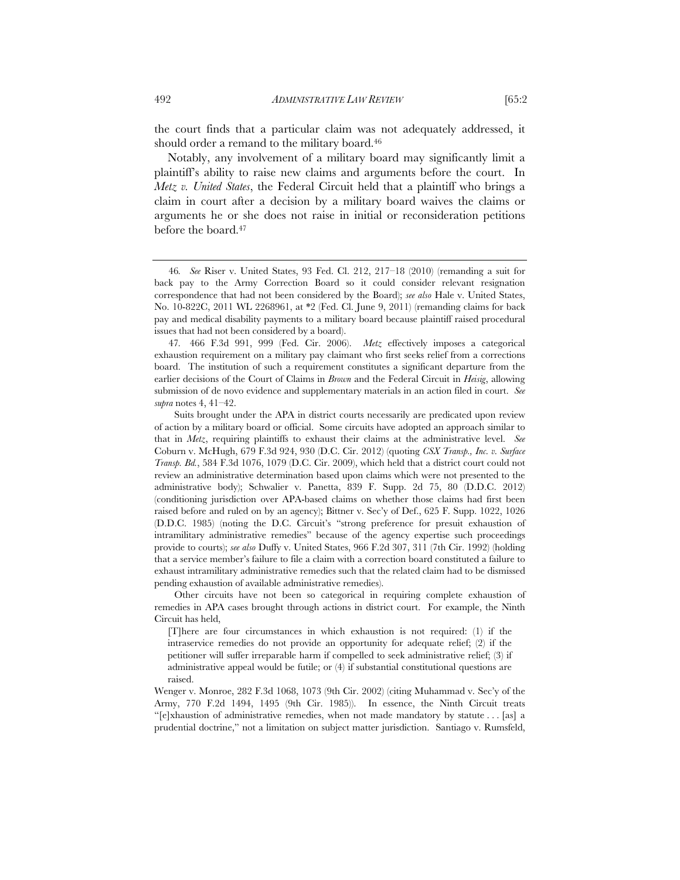the court finds that a particular claim was not adequately addressed, it should order a remand to the military board.46

Notably, any involvement of a military board may significantly limit a plaintiff's ability to raise new claims and arguments before the court. In *Metz v. United States*, the Federal Circuit held that a plaintiff who brings a claim in court after a decision by a military board waives the claims or arguments he or she does not raise in initial or reconsideration petitions before the board.47

Other circuits have not been so categorical in requiring complete exhaustion of remedies in APA cases brought through actions in district court. For example, the Ninth Circuit has held,

Wenger v. Monroe, 282 F.3d 1068, 1073 (9th Cir. 2002) (citing Muhammad v. Sec'y of the Army, 770 F.2d 1494, 1495 (9th Cir. 1985)). In essence, the Ninth Circuit treats "[e]xhaustion of administrative remedies, when not made mandatory by statute . . . [as] a prudential doctrine," not a limitation on subject matter jurisdiction. Santiago v. Rumsfeld,

<sup>46</sup>*. See* Riser v. United States, 93 Fed. Cl. 212, 217–18 (2010) (remanding a suit for back pay to the Army Correction Board so it could consider relevant resignation correspondence that had not been considered by the Board); *see also* Hale v. United States, No. 10-822C, 2011 WL 2268961, at \*2 (Fed. Cl. June 9, 2011) (remanding claims for back pay and medical disability payments to a military board because plaintiff raised procedural issues that had not been considered by a board).

<sup>47</sup>*.* 466 F.3d 991, 999 (Fed. Cir. 2006). *Metz* effectively imposes a categorical exhaustion requirement on a military pay claimant who first seeks relief from a corrections board. The institution of such a requirement constitutes a significant departure from the earlier decisions of the Court of Claims in *Brown* and the Federal Circuit in *Heisig*, allowing submission of de novo evidence and supplementary materials in an action filed in court. *See supra* notes 4, 41–42.

Suits brought under the APA in district courts necessarily are predicated upon review of action by a military board or official. Some circuits have adopted an approach similar to that in *Metz*, requiring plaintiffs to exhaust their claims at the administrative level. *See*  Coburn v. McHugh, 679 F.3d 924, 930 (D.C. Cir. 2012) (quoting *CSX Transp., Inc. v. Surface Transp. Bd.*, 584 F.3d 1076, 1079 (D.C. Cir. 2009), which held that a district court could not review an administrative determination based upon claims which were not presented to the administrative body); Schwalier v. Panetta, 839 F. Supp. 2d 75, 80 (D.D.C. 2012) (conditioning jurisdiction over APA-based claims on whether those claims had first been raised before and ruled on by an agency); Bittner v. Sec'y of Def., 625 F. Supp. 1022, 1026 (D.D.C. 1985) (noting the D.C. Circuit's "strong preference for presuit exhaustion of intramilitary administrative remedies" because of the agency expertise such proceedings provide to courts); *see also* Duffy v. United States, 966 F.2d 307, 311 (7th Cir. 1992) (holding that a service member's failure to file a claim with a correction board constituted a failure to exhaust intramilitary administrative remedies such that the related claim had to be dismissed pending exhaustion of available administrative remedies).

<sup>[</sup>T]here are four circumstances in which exhaustion is not required: (1) if the intraservice remedies do not provide an opportunity for adequate relief; (2) if the petitioner will suffer irreparable harm if compelled to seek administrative relief; (3) if administrative appeal would be futile; or (4) if substantial constitutional questions are raised.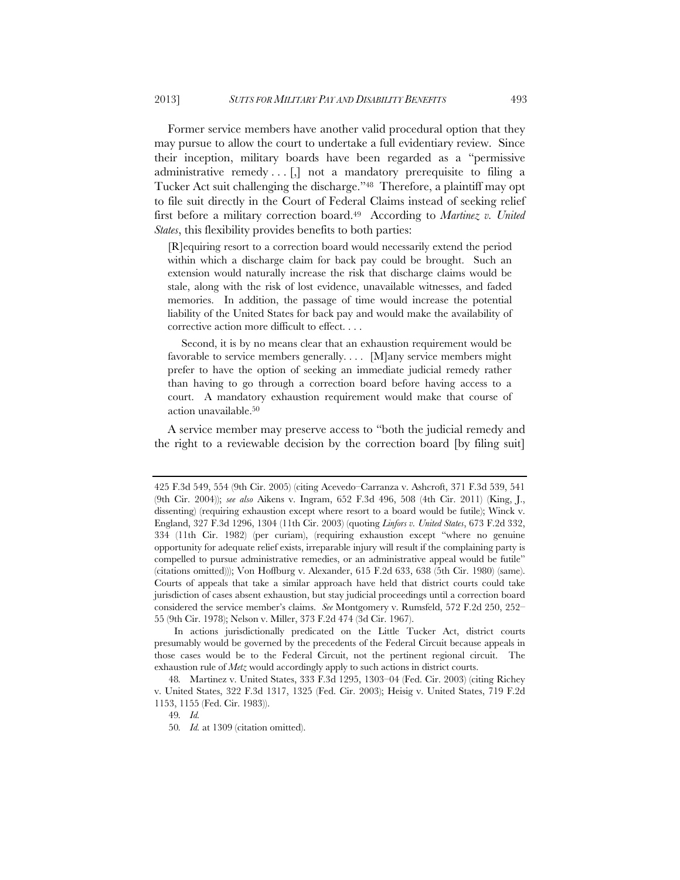Former service members have another valid procedural option that they may pursue to allow the court to undertake a full evidentiary review. Since their inception, military boards have been regarded as a "permissive administrative remedy  $\ldots$ . [,] not a mandatory prerequisite to filing a Tucker Act suit challenging the discharge."48 Therefore, a plaintiff may opt to file suit directly in the Court of Federal Claims instead of seeking relief first before a military correction board.49 According to *Martinez v. United States*, this flexibility provides benefits to both parties:

[R]equiring resort to a correction board would necessarily extend the period within which a discharge claim for back pay could be brought. Such an extension would naturally increase the risk that discharge claims would be stale, along with the risk of lost evidence, unavailable witnesses, and faded memories. In addition, the passage of time would increase the potential liability of the United States for back pay and would make the availability of corrective action more difficult to effect. . . .

Second, it is by no means clear that an exhaustion requirement would be favorable to service members generally. . . . [M]any service members might prefer to have the option of seeking an immediate judicial remedy rather than having to go through a correction board before having access to a court. A mandatory exhaustion requirement would make that course of action unavailable.50

A service member may preserve access to "both the judicial remedy and the right to a reviewable decision by the correction board [by filing suit]

49*. Id.*

<sup>425</sup> F.3d 549, 554 (9th Cir. 2005) (citing Acevedo–Carranza v. Ashcroft, 371 F.3d 539, 541 (9th Cir. 2004)); *see also* Aikens v. Ingram, 652 F.3d 496, 508 (4th Cir. 2011) (King, J., dissenting) (requiring exhaustion except where resort to a board would be futile); Winck v. England, 327 F.3d 1296, 1304 (11th Cir. 2003) (quoting *Linfors v. United States*, 673 F.2d 332, 334 (11th Cir. 1982) (per curiam), (requiring exhaustion except "where no genuine opportunity for adequate relief exists, irreparable injury will result if the complaining party is compelled to pursue administrative remedies, or an administrative appeal would be futile" (citations omitted))); Von Hoffburg v. Alexander, 615 F.2d 633, 638 (5th Cir. 1980) (same). Courts of appeals that take a similar approach have held that district courts could take jurisdiction of cases absent exhaustion, but stay judicial proceedings until a correction board considered the service member's claims. *See* Montgomery v. Rumsfeld, 572 F.2d 250, 252– 55 (9th Cir. 1978); Nelson v. Miller, 373 F.2d 474 (3d Cir. 1967).

In actions jurisdictionally predicated on the Little Tucker Act, district courts presumably would be governed by the precedents of the Federal Circuit because appeals in those cases would be to the Federal Circuit, not the pertinent regional circuit. The exhaustion rule of *Metz* would accordingly apply to such actions in district courts.

<sup>48</sup>*.* Martinez v. United States, 333 F.3d 1295, 1303–04 (Fed. Cir. 2003) (citing Richey v. United States, 322 F.3d 1317, 1325 (Fed. Cir. 2003); Heisig v. United States, 719 F.2d 1153, 1155 (Fed. Cir. 1983)).

<sup>50</sup>*. Id.* at 1309 (citation omitted).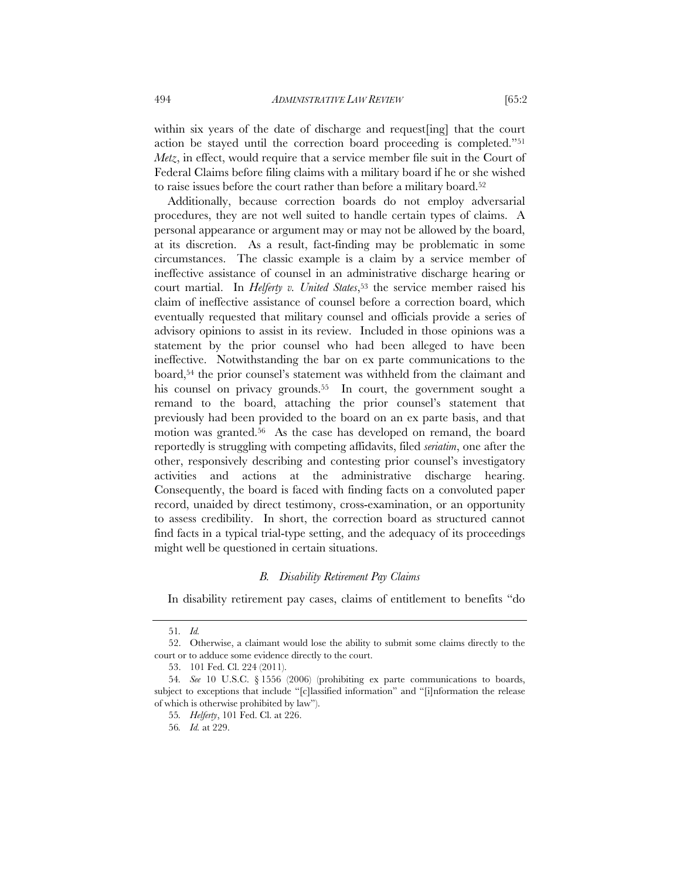within six years of the date of discharge and request[ing] that the court action be stayed until the correction board proceeding is completed."51 *Metz*, in effect, would require that a service member file suit in the Court of Federal Claims before filing claims with a military board if he or she wished to raise issues before the court rather than before a military board.52

Additionally, because correction boards do not employ adversarial procedures, they are not well suited to handle certain types of claims. A personal appearance or argument may or may not be allowed by the board, at its discretion. As a result, fact-finding may be problematic in some circumstances. The classic example is a claim by a service member of ineffective assistance of counsel in an administrative discharge hearing or court martial. In *Helferty v. United States*,<sup>53</sup> the service member raised his claim of ineffective assistance of counsel before a correction board, which eventually requested that military counsel and officials provide a series of advisory opinions to assist in its review. Included in those opinions was a statement by the prior counsel who had been alleged to have been ineffective. Notwithstanding the bar on ex parte communications to the board,54 the prior counsel's statement was withheld from the claimant and his counsel on privacy grounds.<sup>55</sup> In court, the government sought a remand to the board, attaching the prior counsel's statement that previously had been provided to the board on an ex parte basis, and that motion was granted.56 As the case has developed on remand, the board reportedly is struggling with competing affidavits, filed *seriatim*, one after the other, responsively describing and contesting prior counsel's investigatory activities and actions at the administrative discharge hearing. Consequently, the board is faced with finding facts on a convoluted paper record, unaided by direct testimony, cross-examination, or an opportunity to assess credibility. In short, the correction board as structured cannot find facts in a typical trial-type setting, and the adequacy of its proceedings might well be questioned in certain situations.

#### *B. Disability Retirement Pay Claims*

In disability retirement pay cases, claims of entitlement to benefits "do

<sup>51</sup>*. Id.*

 <sup>52.</sup> Otherwise, a claimant would lose the ability to submit some claims directly to the court or to adduce some evidence directly to the court.

 <sup>53. 101</sup> Fed. Cl. 224 (2011).

<sup>54</sup>*. See* 10 U.S.C. § 1556 (2006) (prohibiting ex parte communications to boards, subject to exceptions that include "[c]lassified information" and "[i]nformation the release of which is otherwise prohibited by law").

<sup>55</sup>*. Helferty*, 101 Fed. Cl. at 226.

<sup>56</sup>*. Id.* at 229.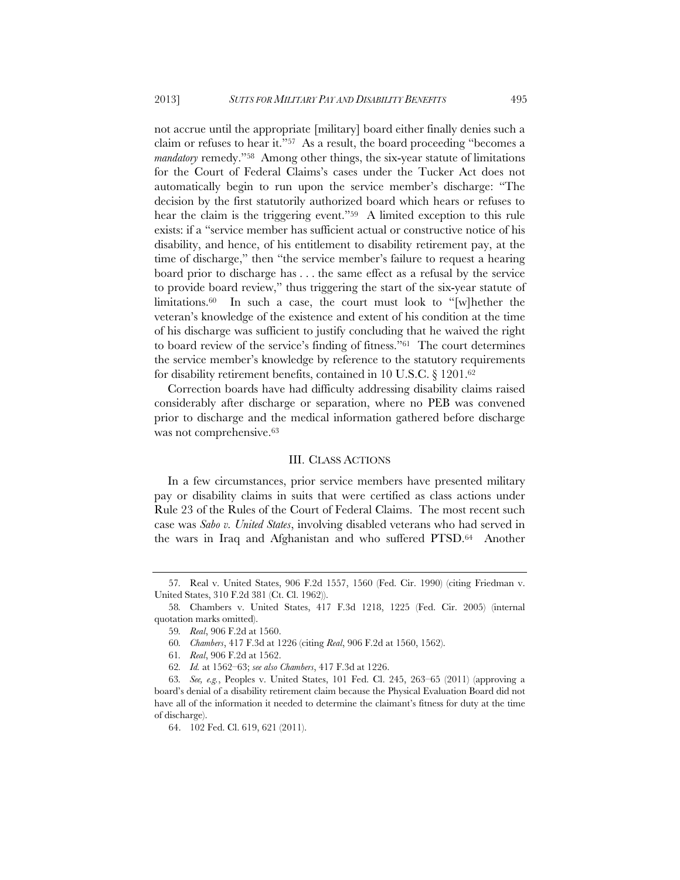not accrue until the appropriate [military] board either finally denies such a claim or refuses to hear it."57 As a result, the board proceeding "becomes a *mandatory* remedy."58 Among other things, the six-year statute of limitations for the Court of Federal Claims's cases under the Tucker Act does not automatically begin to run upon the service member's discharge: "The decision by the first statutorily authorized board which hears or refuses to hear the claim is the triggering event."59 A limited exception to this rule exists: if a "service member has sufficient actual or constructive notice of his disability, and hence, of his entitlement to disability retirement pay, at the time of discharge," then "the service member's failure to request a hearing board prior to discharge has . . . the same effect as a refusal by the service to provide board review," thus triggering the start of the six-year statute of limitations.<sup>60</sup> In such a case, the court must look to "[w] hether the veteran's knowledge of the existence and extent of his condition at the time of his discharge was sufficient to justify concluding that he waived the right to board review of the service's finding of fitness."61 The court determines the service member's knowledge by reference to the statutory requirements for disability retirement benefits, contained in 10 U.S.C. § 1201.62

Correction boards have had difficulty addressing disability claims raised considerably after discharge or separation, where no PEB was convened prior to discharge and the medical information gathered before discharge was not comprehensive.<sup>63</sup>

## III. CLASS ACTIONS

In a few circumstances, prior service members have presented military pay or disability claims in suits that were certified as class actions under Rule 23 of the Rules of the Court of Federal Claims. The most recent such case was *Sabo v. United States*, involving disabled veterans who had served in the wars in Iraq and Afghanistan and who suffered PTSD.64 Another

<sup>57</sup>*.* Real v. United States, 906 F.2d 1557, 1560 (Fed. Cir. 1990) (citing Friedman v. United States, 310 F.2d 381 (Ct. Cl. 1962)).

<sup>58</sup>*.* Chambers v. United States, 417 F.3d 1218, 1225 (Fed. Cir. 2005) (internal quotation marks omitted).

<sup>59</sup>*. Real*, 906 F.2d at 1560.

<sup>60</sup>*. Chambers*, 417 F.3d at 1226 (citing *Real*, 906 F.2d at 1560, 1562).

<sup>61</sup>*. Real*, 906 F.2d at 1562.

<sup>62</sup>*. Id.* at 1562–63; *see also Chambers*, 417 F.3d at 1226.

<sup>63</sup>*. See, e.g.*, Peoples v. United States, 101 Fed. Cl. 245, 263–65 (2011) (approving a board's denial of a disability retirement claim because the Physical Evaluation Board did not have all of the information it needed to determine the claimant's fitness for duty at the time of discharge).

 <sup>64. 102</sup> Fed. Cl. 619, 621 (2011).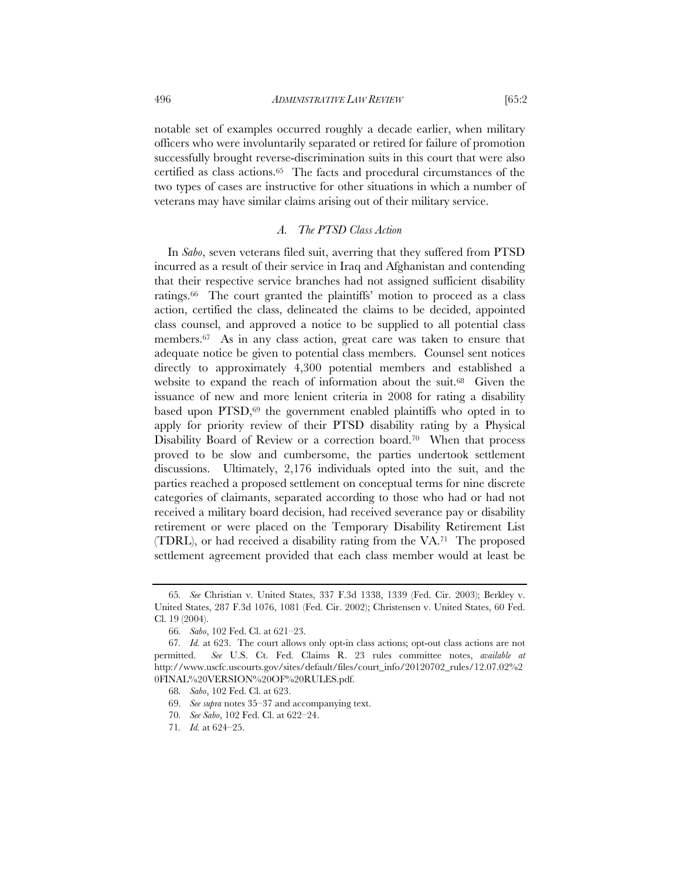notable set of examples occurred roughly a decade earlier, when military officers who were involuntarily separated or retired for failure of promotion successfully brought reverse-discrimination suits in this court that were also certified as class actions.65 The facts and procedural circumstances of the two types of cases are instructive for other situations in which a number of veterans may have similar claims arising out of their military service.

## *A. The PTSD Class Action*

In *Sabo*, seven veterans filed suit, averring that they suffered from PTSD incurred as a result of their service in Iraq and Afghanistan and contending that their respective service branches had not assigned sufficient disability ratings.66 The court granted the plaintiffs' motion to proceed as a class action, certified the class, delineated the claims to be decided, appointed class counsel, and approved a notice to be supplied to all potential class members.67 As in any class action, great care was taken to ensure that adequate notice be given to potential class members. Counsel sent notices directly to approximately 4,300 potential members and established a website to expand the reach of information about the suit.68 Given the issuance of new and more lenient criteria in 2008 for rating a disability based upon PTSD,<sup>69</sup> the government enabled plaintiffs who opted in to apply for priority review of their PTSD disability rating by a Physical Disability Board of Review or a correction board.<sup>70</sup> When that process proved to be slow and cumbersome, the parties undertook settlement discussions. Ultimately, 2,176 individuals opted into the suit, and the parties reached a proposed settlement on conceptual terms for nine discrete categories of claimants, separated according to those who had or had not received a military board decision, had received severance pay or disability retirement or were placed on the Temporary Disability Retirement List (TDRL), or had received a disability rating from the VA.71 The proposed settlement agreement provided that each class member would at least be

<sup>65</sup>*. See* Christian v. United States, 337 F.3d 1338, 1339 (Fed. Cir. 2003); Berkley v. United States, 287 F.3d 1076, 1081 (Fed. Cir. 2002); Christensen v. United States, 60 Fed. Cl. 19 (2004).

<sup>66</sup>*. Sabo*, 102 Fed. Cl. at 621–23.

<sup>67</sup>*. Id.* at 623. The court allows only opt-in class actions; opt-out class actions are not permitted. *See* U.S. Ct. Fed. Claims R. 23 rules committee notes, *available at* http://www.uscfc.uscourts.gov/sites/default/files/court\_info/20120702\_rules/12.07.02%2 0FINAL%20VERSION%20OF%20RULES.pdf.

<sup>68</sup>*. Sabo*, 102 Fed. Cl. at 623.

 <sup>69.</sup> *See supra* notes 35–37 and accompanying text.

<sup>70</sup>*. See Sabo*, 102 Fed. Cl. at 622–24.

<sup>71</sup>*. Id.* at 624–25.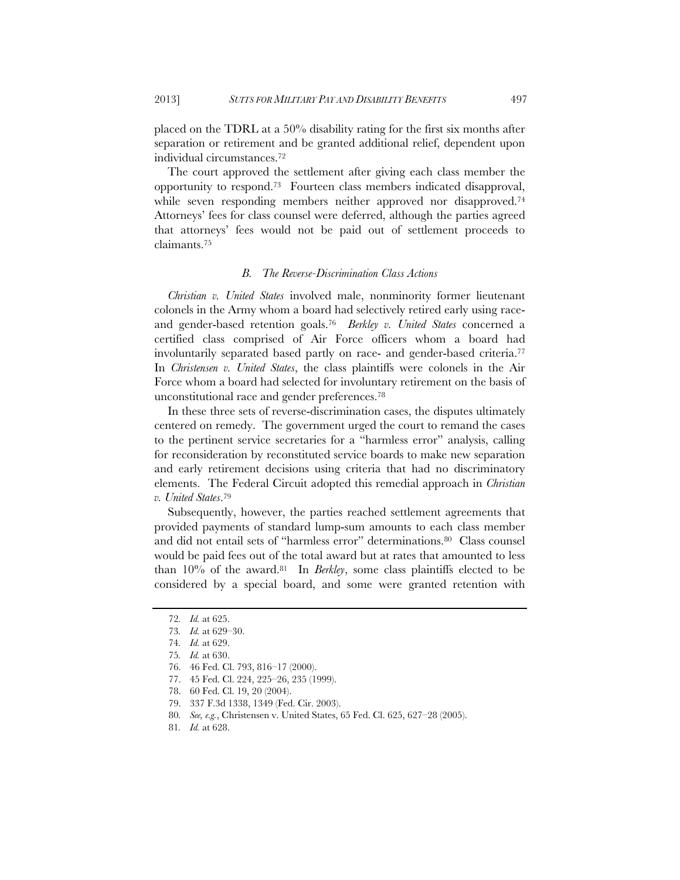placed on the TDRL at a 50% disability rating for the first six months after separation or retirement and be granted additional relief, dependent upon individual circumstances.72

The court approved the settlement after giving each class member the opportunity to respond.73 Fourteen class members indicated disapproval, while seven responding members neither approved nor disapproved.<sup>74</sup> Attorneys' fees for class counsel were deferred, although the parties agreed that attorneys' fees would not be paid out of settlement proceeds to claimants.75

# *B. The Reverse-Discrimination Class Actions*

*Christian v. United States* involved male, nonminority former lieutenant colonels in the Army whom a board had selectively retired early using raceand gender-based retention goals.76 *Berkley v. United States* concerned a certified class comprised of Air Force officers whom a board had involuntarily separated based partly on race- and gender-based criteria.77 In *Christensen v. United States*, the class plaintiffs were colonels in the Air Force whom a board had selected for involuntary retirement on the basis of unconstitutional race and gender preferences.78

In these three sets of reverse-discrimination cases, the disputes ultimately centered on remedy. The government urged the court to remand the cases to the pertinent service secretaries for a "harmless error" analysis, calling for reconsideration by reconstituted service boards to make new separation and early retirement decisions using criteria that had no discriminatory elements. The Federal Circuit adopted this remedial approach in *Christian v. United States*.79

Subsequently, however, the parties reached settlement agreements that provided payments of standard lump-sum amounts to each class member and did not entail sets of "harmless error" determinations.80 Class counsel would be paid fees out of the total award but at rates that amounted to less than 10% of the award.81 In *Berkley*, some class plaintiffs elected to be considered by a special board, and some were granted retention with

<sup>72</sup>*. Id.* at 625.

<sup>73</sup>*. Id.* at 629–30.

<sup>74</sup>*. Id.* at 629.

<sup>75</sup>*. Id.* at 630.

 <sup>76. 46</sup> Fed. Cl. 793, 816–17 (2000).

 <sup>77. 45</sup> Fed. Cl. 224, 225–26, 235 (1999).

 <sup>78. 60</sup> Fed. Cl. 19, 20 (2004).

 <sup>79. 337</sup> F.3d 1338, 1349 (Fed. Cir. 2003).

<sup>80</sup>*. See, e.g.*, Christensen v. United States, 65 Fed. Cl. 625, 627–28 (2005).

<sup>81</sup>*. Id.* at 628.